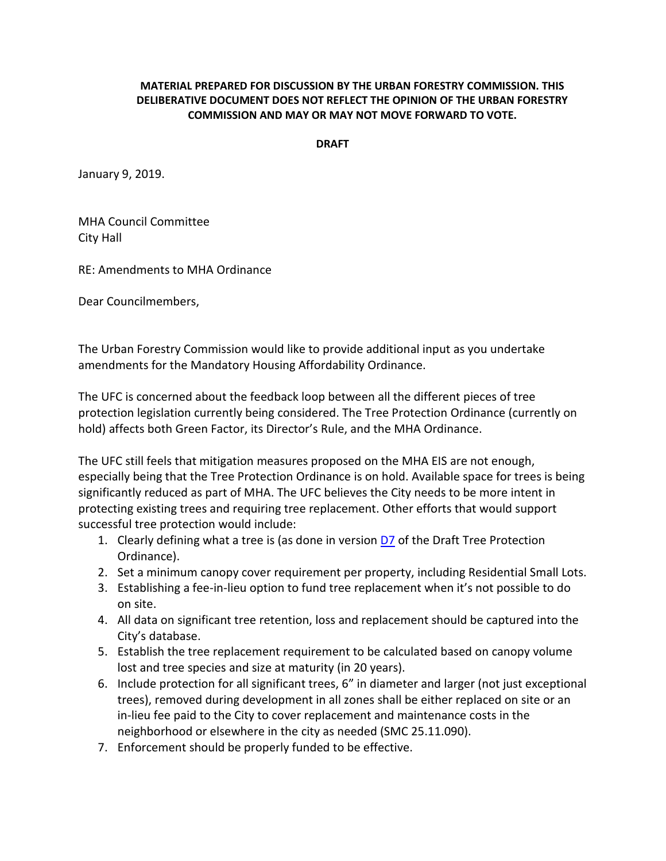## **MATERIAL PREPARED FOR DISCUSSION BY THE URBAN FORESTRY COMMISSION. THIS DELIBERATIVE DOCUMENT DOES NOT REFLECT THE OPINION OF THE URBAN FORESTRY COMMISSION AND MAY OR MAY NOT MOVE FORWARD TO VOTE.**

**DRAFT** 

January 9, 2019.

MHA Council Committee City Hall

RE: Amendments to MHA Ordinance

Dear Councilmembers,

The Urban Forestry Commission would like to provide additional input as you undertake amendments for the Mandatory Housing Affordability Ordinance.

The UFC is concerned about the feedback loop between all the different pieces of tree protection legislation currently being considered. The Tree Protection Ordinance (currently on hold) affects both Green Factor, its Director's Rule, and the MHA Ordinance.

The UFC still feels that mitigation measures proposed on the MHA EIS are not enough, especially being that the Tree Protection Ordinance is on hold. Available space for trees is being significantly reduced as part of MHA. The UFC believes the City needs to be more intent in protecting existing trees and requiring tree replacement. Other efforts that would support successful tree protection would include:

- 1. Clearly defining what a tree is (as done in version  $D7$  of the Draft Tree Protection Ordinance).
- 2. Set a minimum canopy cover requirement per property, including Residential Small Lots.
- 3. Establishing a fee-in-lieu option to fund tree replacement when it's not possible to do on site.
- 4. All data on significant tree retention, loss and replacement should be captured into the City's database.
- 5. Establish the tree replacement requirement to be calculated based on canopy volume lost and tree species and size at maturity (in 20 years).
- 6. Include protection for all significant trees, 6" in diameter and larger (not just exceptional trees), removed during development in all zones shall be either replaced on site or an in-lieu fee paid to the City to cover replacement and maintenance costs in the neighborhood or elsewhere in the city as needed (SMC 25.11.090).
- 7. Enforcement should be properly funded to be effective.